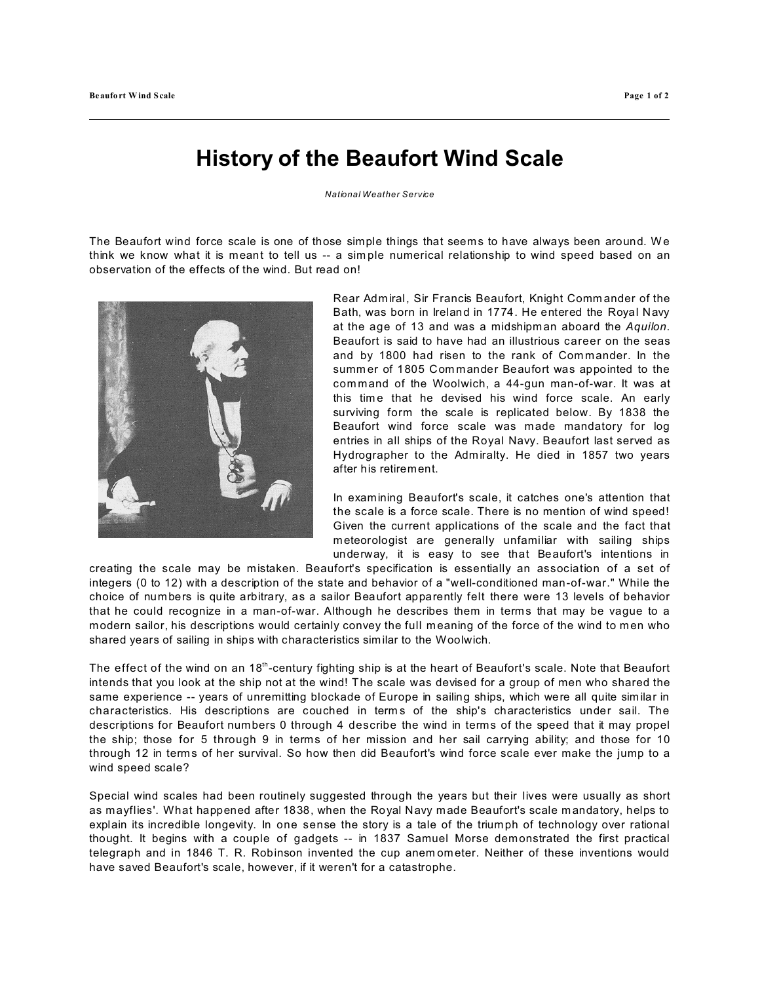## **History of the Beaufort Wind Scale**

*National Weather Service*

The Beaufort wind force scale is one of those simple things that seems to have always been around. We think we know what it is meant to tell us -- a sim ple numerical relationship to wind speed based on an observation of the effects of the wind. But read on!



Rear Admiral, Sir Francis Beaufort, Knight Comm ander of the Bath, was born in Ireland in 1774. He entered the Royal Navy at the age of 13 and was a midshipman aboard the *Aquilon*. Beaufort is said to have had an illustrious career on the seas and by 1800 had risen to the rank of Commander. In the summ er of 1805 Com mander Beaufort was appointed to the com mand of the Woolwich, a 44-gun man-of-war. It was at this tim e that he devised his wind force scale. An early surviving form the scale is replicated below. By 1838 the Beaufort wind force scale was made mandatory for log entries in all ships of the Royal Navy. Beaufort last served as Hydrographer to the Admiralty. He died in 1857 two years after his retirement.

In examining Beaufort's scale, it catches one's attention that the scale is a force scale. There is no mention of wind speed! Given the current applications of the scale and the fact that meteorologist are generally unfamiliar with sailing ships underway, it is easy to see that Beaufort's intentions in

creating the scale may be mistaken. Beaufort's specification is essentially an association of a set of integers (0 to 12) with a description of the state and behavior of a "well-conditioned man-of-war." While the choice of numbers is quite arbitrary, as a sailor Beaufort apparently felt there were 13 levels of behavior that he could recognize in a man-of-war. Although he describes them in terms that may be vague to a modern sailor, his descriptions would certainly convey the full meaning of the force of the wind to men who shared years of sailing in ships with characteristics similar to the Woolwich.

The effect of the wind on an  $18<sup>th</sup>$ -century fighting ship is at the heart of Beaufort's scale. Note that Beaufort intends that you look at the ship not at the wind! The scale was devised for a group of men who shared the same experience -- years of unremitting blockade of Europe in sailing ships, which were all quite sim ilar in characteristics. His descriptions are couched in term s of the ship's characteristics under sail. The descriptions for Beaufort numbers 0 through 4 describe the wind in terms of the speed that it may propel the ship; those for 5 through 9 in terms of her mission and her sail carrying ability; and those for 10 through 12 in terms of her survival. So how then did Beaufort's wind force scale ever make the jump to a wind speed scale?

Special wind scales had been routinely suggested through the years but their lives were usually as short as mayflies'. What happened after 1838, when the Royal Navy made Beaufort's scale m andatory, helps to explain its incredible longevity. In one sense the story is a tale of the triumph of technology over rational thought. It begins with a couple of gadgets -- in 1837 Samuel Morse demonstrated the first practical telegraph and in 1846 T. R. Robinson invented the cup anem ometer. Neither of these inventions would have saved Beaufort's scale, however, if it weren't for a catastrophe.